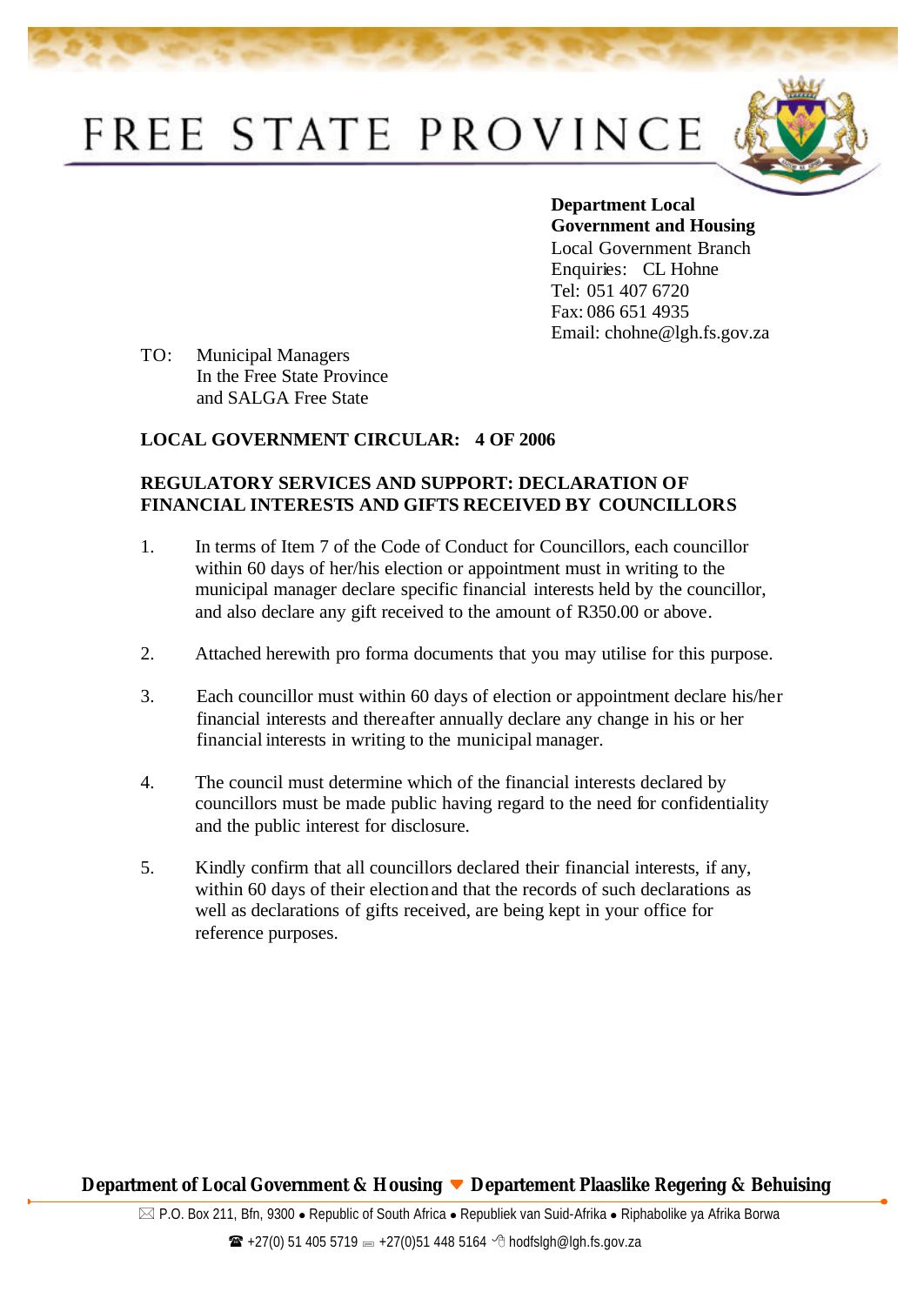# FREE STATE PROVINCE



**Department Local Government and Housing**  Local Government Branch Enquiries: CL Hohne Tel: 051 407 6720 Fax: 086 651 4935 Email: chohne@lgh.fs.gov.za

TO: Municipal Managers In the Free State Province and SALGA Free State

### **LOCAL GOVERNMENT CIRCULAR: 4 OF 2006**

#### **REGULATORY SERVICES AND SUPPORT: DECLARATION OF FINANCIAL INTERESTS AND GIFTS RECEIVED BY COUNCILLORS**

- 1. In terms of Item 7 of the Code of Conduct for Councillors, each councillor within 60 days of her/his election or appointment must in writing to the municipal manager declare specific financial interests held by the councillor, and also declare any gift received to the amount of R350.00 or above.
- 2. Attached herewith pro forma documents that you may utilise for this purpose.
- 3. Each councillor must within 60 days of election or appointment declare his/her financial interests and thereafter annually declare any change in his or her financial interests in writing to the municipal manager.
- 4. The council must determine which of the financial interests declared by councillors must be made public having regard to the need for confidentiality and the public interest for disclosure.
- 5. Kindly confirm that all councillors declared their financial interests, if any, within 60 days of their election and that the records of such declarations as well as declarations of gifts received, are being kept in your office for reference purposes.

#### **Department of Local Government & Housing ▼ Departement Plaaslike Regering & Behuising**

 $\boxtimes$  P.O. Box 211, Bfn, 9300 • Republic of South Africa • Republiek van Suid-Afrika • Riphabolike ya Afrika Borwa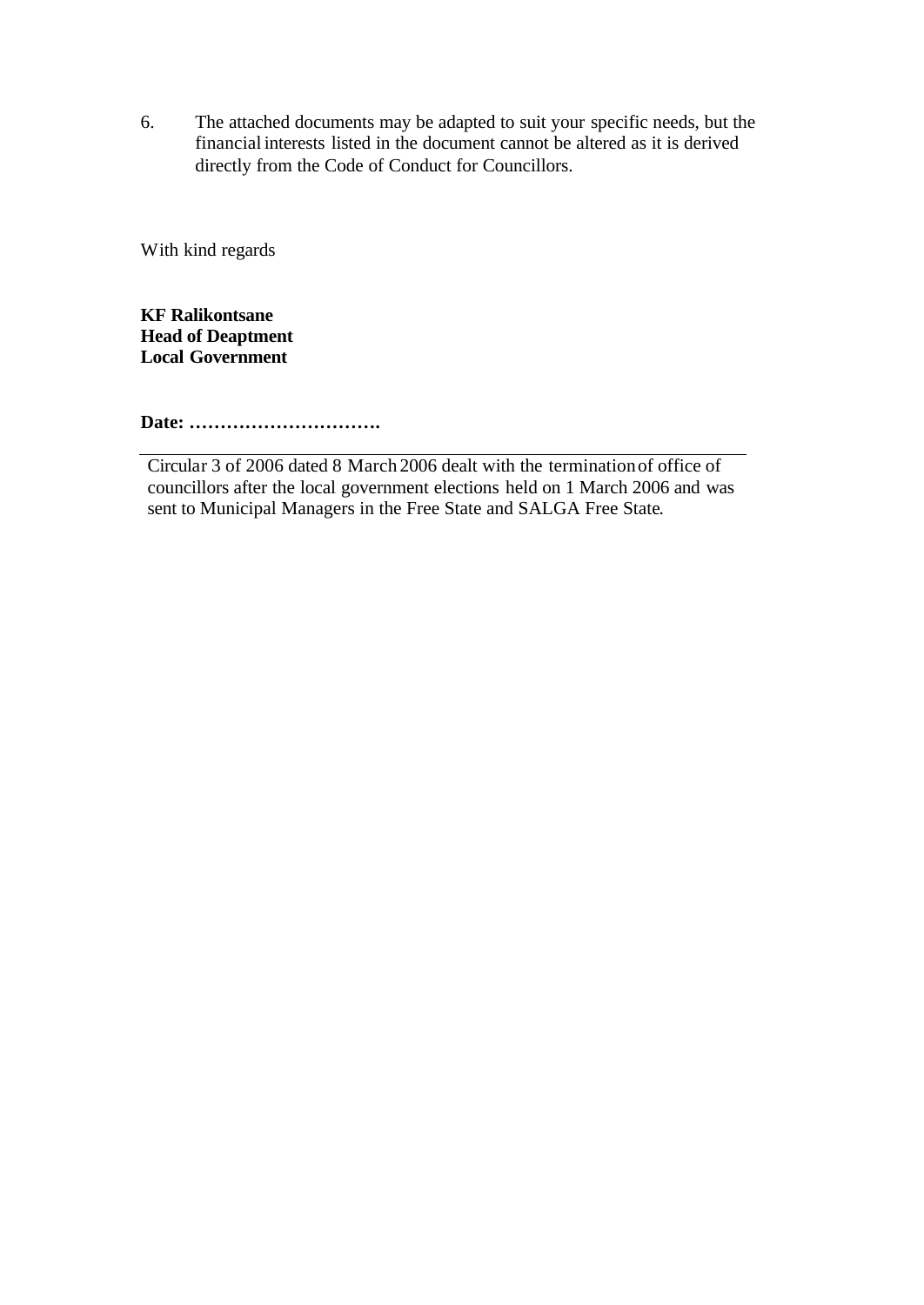6. The attached documents may be adapted to suit your specific needs, but the financial interests listed in the document cannot be altered as it is derived directly from the Code of Conduct for Councillors.

With kind regards

**KF Ralikontsane Head of Deaptment Local Government**

**Date: ………………………….**

Circular 3 of 2006 dated 8 March 2006 dealt with the termination of office of councillors after the local government elections held on 1 March 2006 and was sent to Municipal Managers in the Free State and SALGA Free State.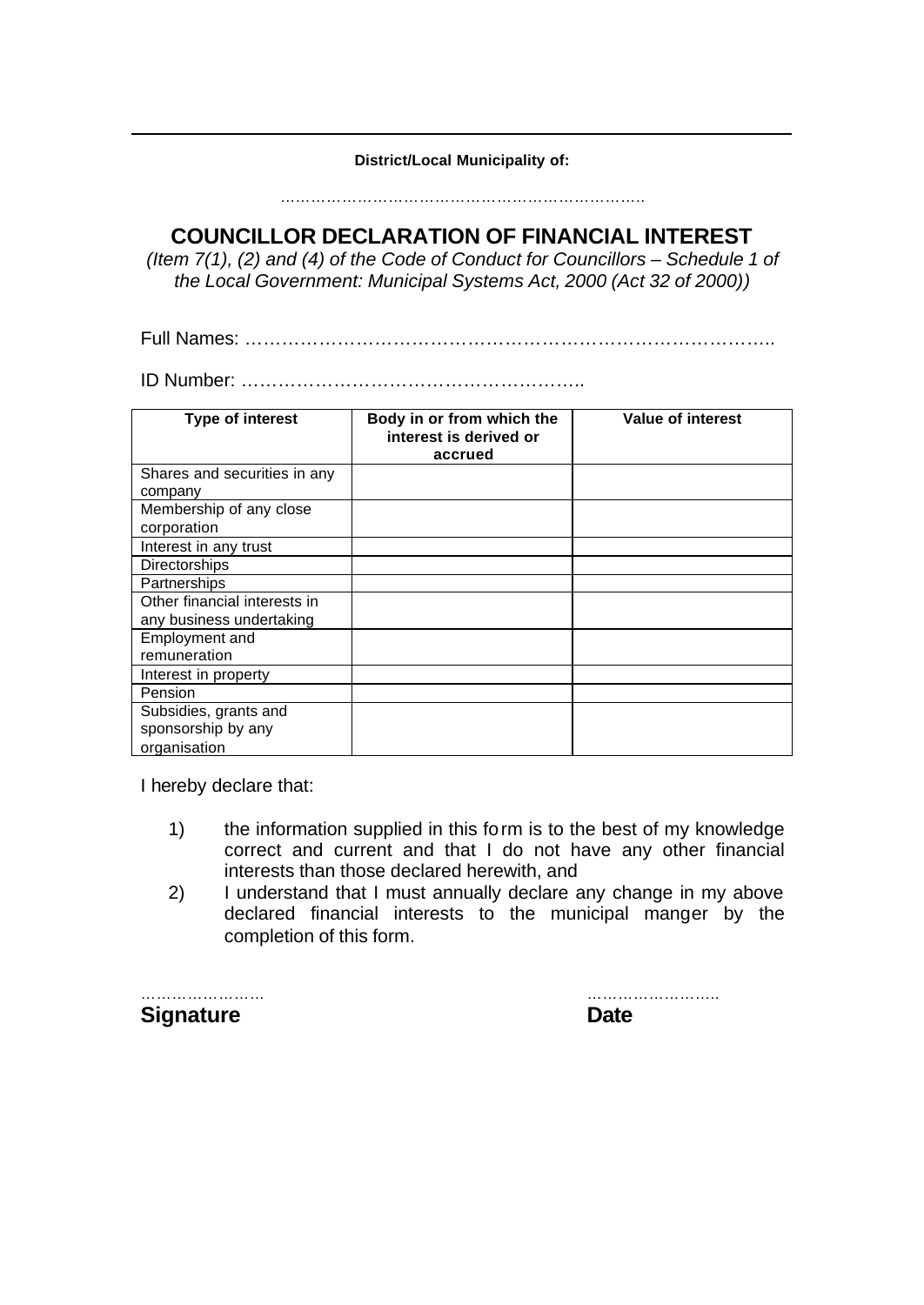**District/Local Municipality of:**

……………………………………………………………..

**COUNCILLOR DECLARATION OF FINANCIAL INTEREST**

*(Item 7(1), (2) and (4) of the Code of Conduct for Councillors – Schedule 1 of the Local Government: Municipal Systems Act, 2000 (Act 32 of 2000))*

Full Names: …………………………………………………………………………..

ID Number: ………………………………………………..

| Type of interest                                            | Body in or from which the<br>interest is derived or<br>accrued | Value of interest |
|-------------------------------------------------------------|----------------------------------------------------------------|-------------------|
| Shares and securities in any<br>company                     |                                                                |                   |
| Membership of any close<br>corporation                      |                                                                |                   |
| Interest in any trust                                       |                                                                |                   |
| <b>Directorships</b>                                        |                                                                |                   |
| Partnerships                                                |                                                                |                   |
| Other financial interests in                                |                                                                |                   |
| any business undertaking                                    |                                                                |                   |
| Employment and                                              |                                                                |                   |
| remuneration                                                |                                                                |                   |
| Interest in property                                        |                                                                |                   |
| Pension                                                     |                                                                |                   |
| Subsidies, grants and<br>sponsorship by any<br>organisation |                                                                |                   |

I hereby declare that:

- 1) the information supplied in this form is to the best of my knowledge correct and current and that I do not have any other financial interests than those declared herewith, and
- 2) I understand that I must annually declare any change in my above declared financial interests to the municipal manger by the completion of this form.

……………………… **Signature** 

| Date |  |  |
|------|--|--|